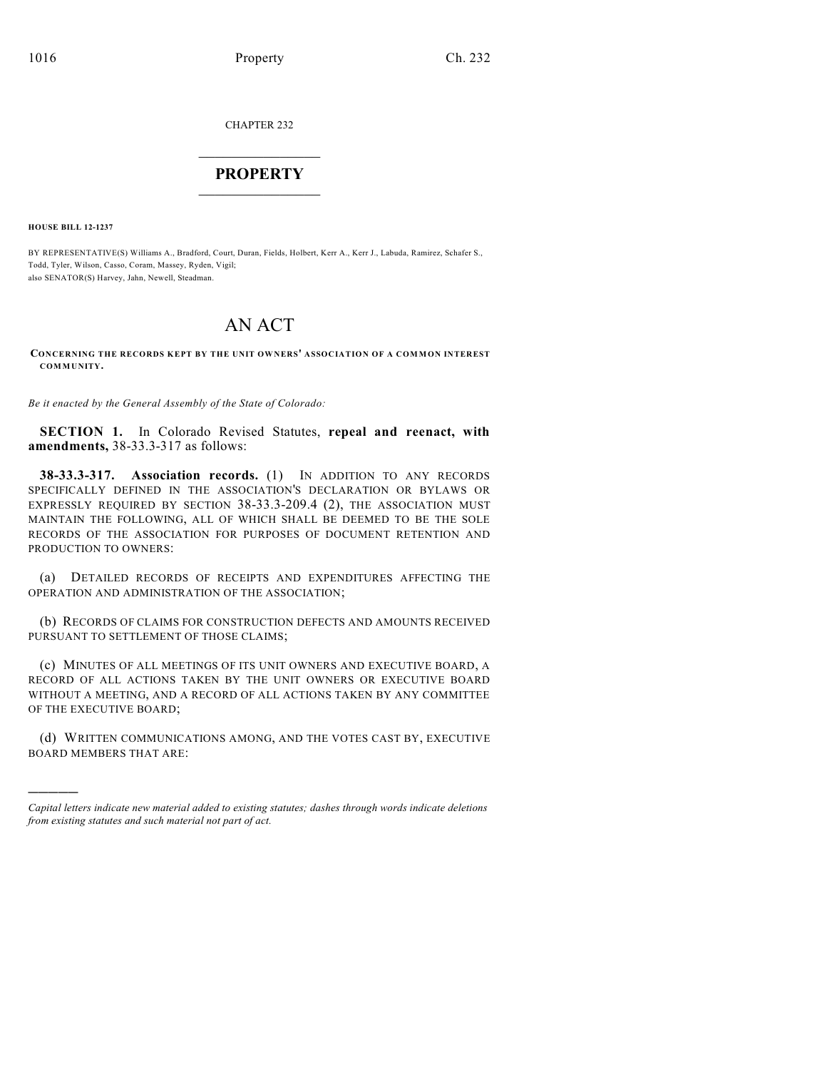CHAPTER 232

## $\mathcal{L}_\text{max}$  . The set of the set of the set of the set of the set of the set of the set of the set of the set of the set of the set of the set of the set of the set of the set of the set of the set of the set of the set **PROPERTY**  $\_$   $\_$   $\_$   $\_$   $\_$   $\_$   $\_$   $\_$   $\_$

**HOUSE BILL 12-1237**

)))))

BY REPRESENTATIVE(S) Williams A., Bradford, Court, Duran, Fields, Holbert, Kerr A., Kerr J., Labuda, Ramirez, Schafer S., Todd, Tyler, Wilson, Casso, Coram, Massey, Ryden, Vigil; also SENATOR(S) Harvey, Jahn, Newell, Steadman.

## AN ACT

**CONCERNING THE RECORDS KEPT BY THE UNIT OWNERS' ASSOCIATION OF A COMMON INTEREST COMMUNITY.**

*Be it enacted by the General Assembly of the State of Colorado:*

**SECTION 1.** In Colorado Revised Statutes, **repeal and reenact, with amendments,** 38-33.3-317 as follows:

**38-33.3-317. Association records.** (1) IN ADDITION TO ANY RECORDS SPECIFICALLY DEFINED IN THE ASSOCIATION'S DECLARATION OR BYLAWS OR EXPRESSLY REQUIRED BY SECTION 38-33.3-209.4 (2), THE ASSOCIATION MUST MAINTAIN THE FOLLOWING, ALL OF WHICH SHALL BE DEEMED TO BE THE SOLE RECORDS OF THE ASSOCIATION FOR PURPOSES OF DOCUMENT RETENTION AND PRODUCTION TO OWNERS:

(a) DETAILED RECORDS OF RECEIPTS AND EXPENDITURES AFFECTING THE OPERATION AND ADMINISTRATION OF THE ASSOCIATION;

(b) RECORDS OF CLAIMS FOR CONSTRUCTION DEFECTS AND AMOUNTS RECEIVED PURSUANT TO SETTLEMENT OF THOSE CLAIMS;

(c) MINUTES OF ALL MEETINGS OF ITS UNIT OWNERS AND EXECUTIVE BOARD, A RECORD OF ALL ACTIONS TAKEN BY THE UNIT OWNERS OR EXECUTIVE BOARD WITHOUT A MEETING, AND A RECORD OF ALL ACTIONS TAKEN BY ANY COMMITTEE OF THE EXECUTIVE BOARD;

(d) WRITTEN COMMUNICATIONS AMONG, AND THE VOTES CAST BY, EXECUTIVE BOARD MEMBERS THAT ARE:

*Capital letters indicate new material added to existing statutes; dashes through words indicate deletions from existing statutes and such material not part of act.*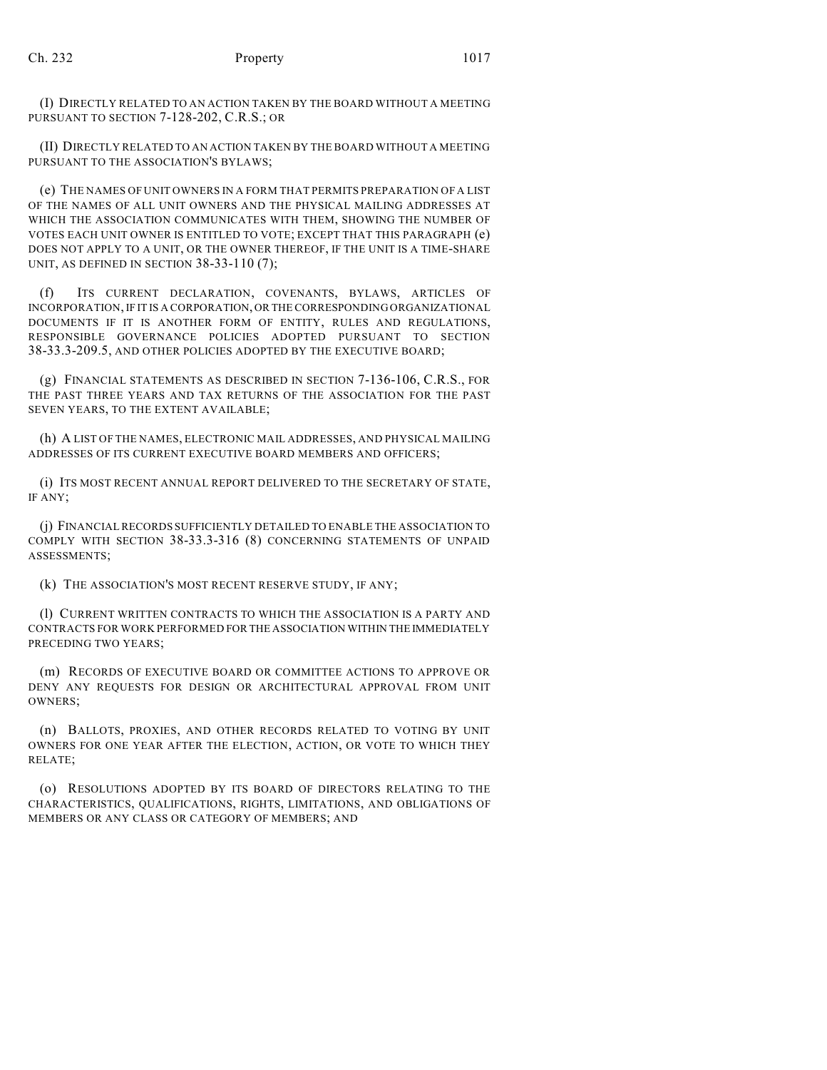(I) DIRECTLY RELATED TO AN ACTION TAKEN BY THE BOARD WITHOUT A MEETING PURSUANT TO SECTION 7-128-202, C.R.S.; OR

(II) DIRECTLY RELATED TO AN ACTION TAKEN BY THE BOARD WITHOUT A MEETING PURSUANT TO THE ASSOCIATION'S BYLAWS;

(e) THE NAMES OF UNIT OWNERS IN A FORM THAT PERMITS PREPARATION OF A LIST OF THE NAMES OF ALL UNIT OWNERS AND THE PHYSICAL MAILING ADDRESSES AT WHICH THE ASSOCIATION COMMUNICATES WITH THEM, SHOWING THE NUMBER OF VOTES EACH UNIT OWNER IS ENTITLED TO VOTE; EXCEPT THAT THIS PARAGRAPH (e) DOES NOT APPLY TO A UNIT, OR THE OWNER THEREOF, IF THE UNIT IS A TIME-SHARE UNIT, AS DEFINED IN SECTION 38-33-110 (7);

(f) ITS CURRENT DECLARATION, COVENANTS, BYLAWS, ARTICLES OF INCORPORATION, IF IT IS A CORPORATION, OR THE CORRESPONDING ORGANIZATIONAL DOCUMENTS IF IT IS ANOTHER FORM OF ENTITY, RULES AND REGULATIONS, RESPONSIBLE GOVERNANCE POLICIES ADOPTED PURSUANT TO SECTION 38-33.3-209.5, AND OTHER POLICIES ADOPTED BY THE EXECUTIVE BOARD;

(g) FINANCIAL STATEMENTS AS DESCRIBED IN SECTION 7-136-106, C.R.S., FOR THE PAST THREE YEARS AND TAX RETURNS OF THE ASSOCIATION FOR THE PAST SEVEN YEARS, TO THE EXTENT AVAILABLE;

(h) A LIST OF THE NAMES, ELECTRONIC MAIL ADDRESSES, AND PHYSICAL MAILING ADDRESSES OF ITS CURRENT EXECUTIVE BOARD MEMBERS AND OFFICERS;

(i) ITS MOST RECENT ANNUAL REPORT DELIVERED TO THE SECRETARY OF STATE, IF ANY;

(j) FINANCIAL RECORDS SUFFICIENTLY DETAILED TO ENABLE THE ASSOCIATION TO COMPLY WITH SECTION 38-33.3-316 (8) CONCERNING STATEMENTS OF UNPAID ASSESSMENTS;

(k) THE ASSOCIATION'S MOST RECENT RESERVE STUDY, IF ANY;

(l) CURRENT WRITTEN CONTRACTS TO WHICH THE ASSOCIATION IS A PARTY AND CONTRACTS FOR WORK PERFORMED FOR THE ASSOCIATION WITHIN THE IMMEDIATELY PRECEDING TWO YEARS;

(m) RECORDS OF EXECUTIVE BOARD OR COMMITTEE ACTIONS TO APPROVE OR DENY ANY REQUESTS FOR DESIGN OR ARCHITECTURAL APPROVAL FROM UNIT OWNERS;

(n) BALLOTS, PROXIES, AND OTHER RECORDS RELATED TO VOTING BY UNIT OWNERS FOR ONE YEAR AFTER THE ELECTION, ACTION, OR VOTE TO WHICH THEY RELATE;

(o) RESOLUTIONS ADOPTED BY ITS BOARD OF DIRECTORS RELATING TO THE CHARACTERISTICS, QUALIFICATIONS, RIGHTS, LIMITATIONS, AND OBLIGATIONS OF MEMBERS OR ANY CLASS OR CATEGORY OF MEMBERS; AND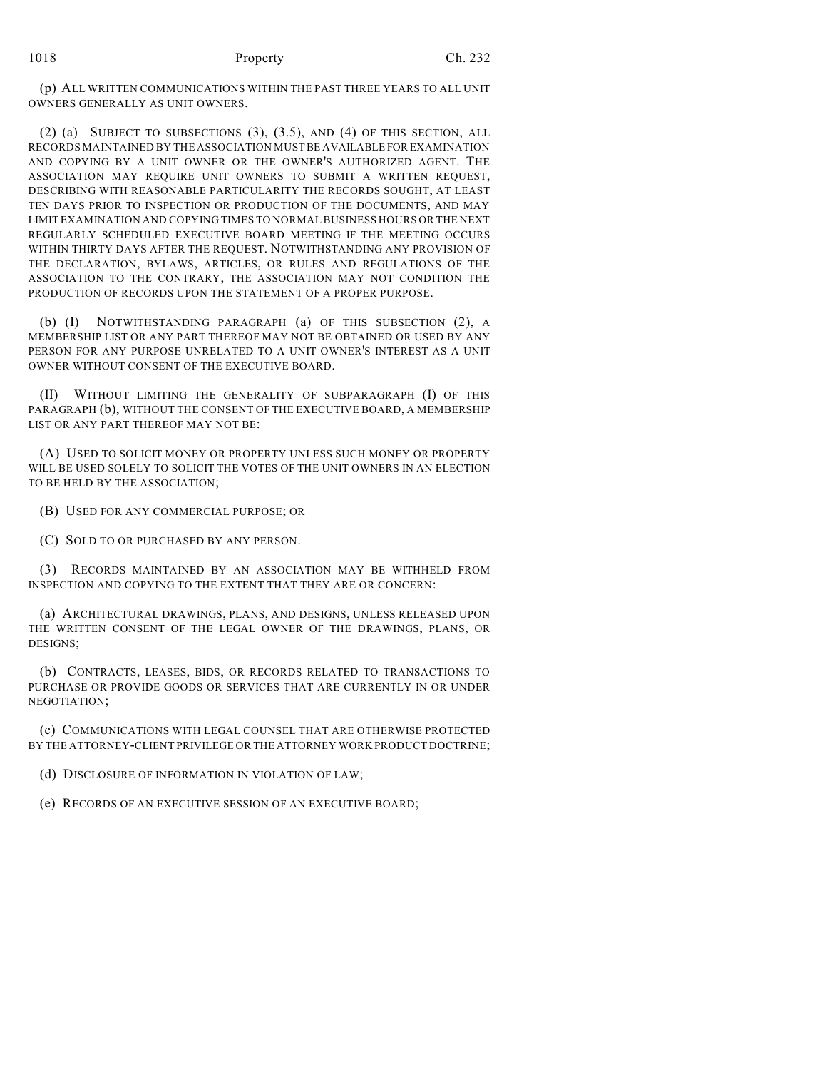(p) ALL WRITTEN COMMUNICATIONS WITHIN THE PAST THREE YEARS TO ALL UNIT OWNERS GENERALLY AS UNIT OWNERS.

(2) (a) SUBJECT TO SUBSECTIONS (3), (3.5), AND (4) OF THIS SECTION, ALL RECORDS MAINTAINED BY THE ASSOCIATION MUST BE AVAILABLE FOR EXAMINATION AND COPYING BY A UNIT OWNER OR THE OWNER'S AUTHORIZED AGENT. THE ASSOCIATION MAY REQUIRE UNIT OWNERS TO SUBMIT A WRITTEN REQUEST, DESCRIBING WITH REASONABLE PARTICULARITY THE RECORDS SOUGHT, AT LEAST TEN DAYS PRIOR TO INSPECTION OR PRODUCTION OF THE DOCUMENTS, AND MAY LIMIT EXAMINATION AND COPYING TIMES TO NORMALBUSINESS HOURS OR THE NEXT REGULARLY SCHEDULED EXECUTIVE BOARD MEETING IF THE MEETING OCCURS WITHIN THIRTY DAYS AFTER THE REQUEST. NOTWITHSTANDING ANY PROVISION OF THE DECLARATION, BYLAWS, ARTICLES, OR RULES AND REGULATIONS OF THE ASSOCIATION TO THE CONTRARY, THE ASSOCIATION MAY NOT CONDITION THE PRODUCTION OF RECORDS UPON THE STATEMENT OF A PROPER PURPOSE.

(b) (I) NOTWITHSTANDING PARAGRAPH (a) OF THIS SUBSECTION (2), A MEMBERSHIP LIST OR ANY PART THEREOF MAY NOT BE OBTAINED OR USED BY ANY PERSON FOR ANY PURPOSE UNRELATED TO A UNIT OWNER'S INTEREST AS A UNIT OWNER WITHOUT CONSENT OF THE EXECUTIVE BOARD.

(II) WITHOUT LIMITING THE GENERALITY OF SUBPARAGRAPH (I) OF THIS PARAGRAPH (b), WITHOUT THE CONSENT OF THE EXECUTIVE BOARD, A MEMBERSHIP LIST OR ANY PART THEREOF MAY NOT BE:

(A) USED TO SOLICIT MONEY OR PROPERTY UNLESS SUCH MONEY OR PROPERTY WILL BE USED SOLELY TO SOLICIT THE VOTES OF THE UNIT OWNERS IN AN ELECTION TO BE HELD BY THE ASSOCIATION;

(B) USED FOR ANY COMMERCIAL PURPOSE; OR

(C) SOLD TO OR PURCHASED BY ANY PERSON.

(3) RECORDS MAINTAINED BY AN ASSOCIATION MAY BE WITHHELD FROM INSPECTION AND COPYING TO THE EXTENT THAT THEY ARE OR CONCERN:

(a) ARCHITECTURAL DRAWINGS, PLANS, AND DESIGNS, UNLESS RELEASED UPON THE WRITTEN CONSENT OF THE LEGAL OWNER OF THE DRAWINGS, PLANS, OR DESIGNS;

(b) CONTRACTS, LEASES, BIDS, OR RECORDS RELATED TO TRANSACTIONS TO PURCHASE OR PROVIDE GOODS OR SERVICES THAT ARE CURRENTLY IN OR UNDER NEGOTIATION;

(c) COMMUNICATIONS WITH LEGAL COUNSEL THAT ARE OTHERWISE PROTECTED BY THE ATTORNEY-CLIENT PRIVILEGE OR THE ATTORNEY WORK PRODUCT DOCTRINE;

(d) DISCLOSURE OF INFORMATION IN VIOLATION OF LAW;

(e) RECORDS OF AN EXECUTIVE SESSION OF AN EXECUTIVE BOARD;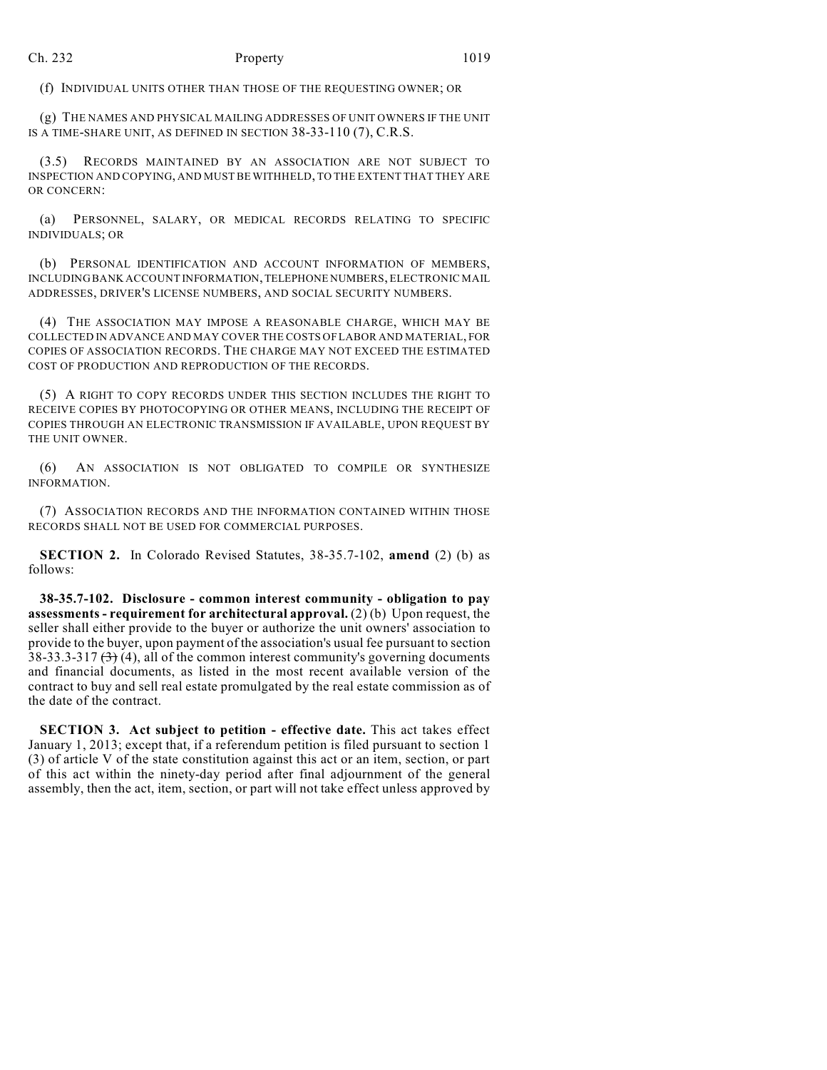(f) INDIVIDUAL UNITS OTHER THAN THOSE OF THE REQUESTING OWNER; OR

(g) THE NAMES AND PHYSICAL MAILING ADDRESSES OF UNIT OWNERS IF THE UNIT IS A TIME-SHARE UNIT, AS DEFINED IN SECTION 38-33-110 (7), C.R.S.

(3.5) RECORDS MAINTAINED BY AN ASSOCIATION ARE NOT SUBJECT TO INSPECTION AND COPYING, AND MUST BE WITHHELD, TO THE EXTENT THAT THEY ARE OR CONCERN:

(a) PERSONNEL, SALARY, OR MEDICAL RECORDS RELATING TO SPECIFIC INDIVIDUALS; OR

(b) PERSONAL IDENTIFICATION AND ACCOUNT INFORMATION OF MEMBERS, INCLUDING BANK ACCOUNT INFORMATION, TELEPHONE NUMBERS, ELECTRONIC MAIL ADDRESSES, DRIVER'S LICENSE NUMBERS, AND SOCIAL SECURITY NUMBERS.

(4) THE ASSOCIATION MAY IMPOSE A REASONABLE CHARGE, WHICH MAY BE COLLECTED IN ADVANCE AND MAY COVER THE COSTS OF LABOR AND MATERIAL, FOR COPIES OF ASSOCIATION RECORDS. THE CHARGE MAY NOT EXCEED THE ESTIMATED COST OF PRODUCTION AND REPRODUCTION OF THE RECORDS.

(5) A RIGHT TO COPY RECORDS UNDER THIS SECTION INCLUDES THE RIGHT TO RECEIVE COPIES BY PHOTOCOPYING OR OTHER MEANS, INCLUDING THE RECEIPT OF COPIES THROUGH AN ELECTRONIC TRANSMISSION IF AVAILABLE, UPON REQUEST BY THE UNIT OWNER.

(6) AN ASSOCIATION IS NOT OBLIGATED TO COMPILE OR SYNTHESIZE INFORMATION.

(7) ASSOCIATION RECORDS AND THE INFORMATION CONTAINED WITHIN THOSE RECORDS SHALL NOT BE USED FOR COMMERCIAL PURPOSES.

**SECTION 2.** In Colorado Revised Statutes, 38-35.7-102, **amend** (2) (b) as follows:

**38-35.7-102. Disclosure - common interest community - obligation to pay assessments - requirement for architectural approval.** (2) (b) Upon request, the seller shall either provide to the buyer or authorize the unit owners' association to provide to the buyer, upon payment of the association's usual fee pursuant to section 38-33.3-317  $(3)$  (4), all of the common interest community's governing documents and financial documents, as listed in the most recent available version of the contract to buy and sell real estate promulgated by the real estate commission as of the date of the contract.

**SECTION 3. Act subject to petition - effective date.** This act takes effect January 1, 2013; except that, if a referendum petition is filed pursuant to section 1 (3) of article V of the state constitution against this act or an item, section, or part of this act within the ninety-day period after final adjournment of the general assembly, then the act, item, section, or part will not take effect unless approved by